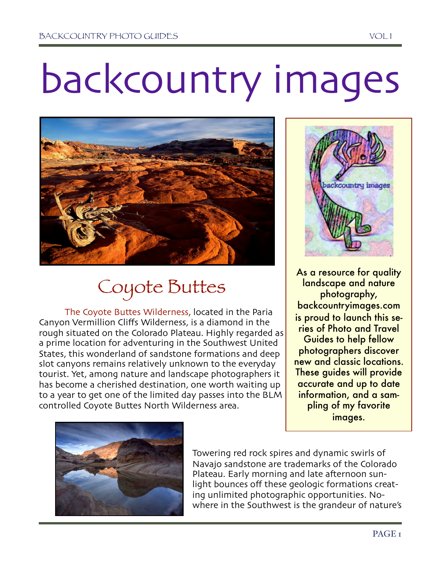## backcountry images



## Coyote Buttes

The Coyote Buttes Wilderness, located in the Paria Canyon Vermillion Cliffs Wilderness, is a diamond in the rough situated on the Colorado Plateau. Highly regarded as a prime location for adventuring in the Southwest United States, this wonderland of sandstone formations and deep slot canyons remains relatively unknown to the everyday tourist. Yet, among nature and landscape photographers it has become a cherished destination, one worth waiting up to a year to get one of the limited day passes into the BLM controlled Coyote Buttes North Wilderness area.



As a resource for quality landscape and nature photography, backcountryimages.com is proud to launch this series of Photo and Travel Guides to help fellow photographers discover new and classic locations. These guides will provide accurate and up to date information, and a sampling of my favorite images.



Towering red rock spires and dynamic swirls of Navajo sandstone are trademarks of the Colorado Plateau. Early morning and late afternoon sunlight bounces off these geologic formations creating unlimited photographic opportunities. Nowhere in the Southwest is the grandeur of nature's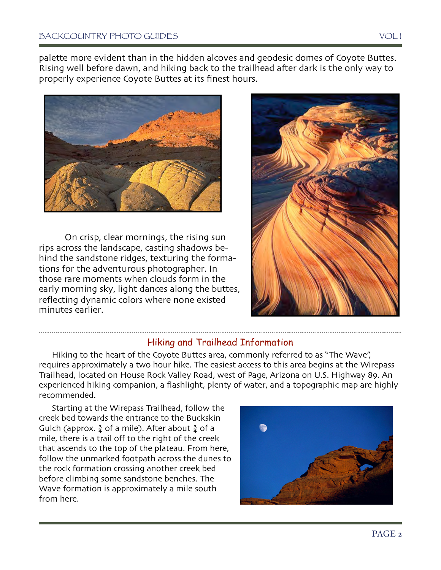palette more evident than in the hidden alcoves and geodesic domes of Coyote Buttes. Rising well before dawn, and hiking back to the trailhead after dark is the only way to properly experience Coyote Buttes at its finest hours.



On crisp, clear mornings, the rising sun rips across the landscape, casting shadows behind the sandstone ridges, texturing the formations for the adventurous photographer. In those rare moments when clouds form in the early morning sky, light dances along the buttes, reflecting dynamic colors where none existed minutes earlier.



## Hiking and Trailhead Information

Hiking to the heart of the Coyote Buttes area, commonly referred to as "The Wave", requires approximately a two hour hike. The easiest access to this area begins at the Wirepass Trailhead, located on House Rock Valley Road, west of Page, Arizona on U.S. Highway 89. An experienced hiking companion, a flashlight, plenty of water, and a topographic map are highly recommended.

Starting at the Wirepass Trailhead, follow the creek bed towards the entrance to the Buckskin Gulch (approx.  $\frac{3}{4}$  of a mile). After about  $\frac{3}{4}$  of a mile, there is a trail off to the right of the creek that ascends to the top of the plateau. From here, follow the unmarked footpath across the dunes to the rock formation crossing another creek bed before climbing some sandstone benches. The Wave formation is approximately a mile south from here.